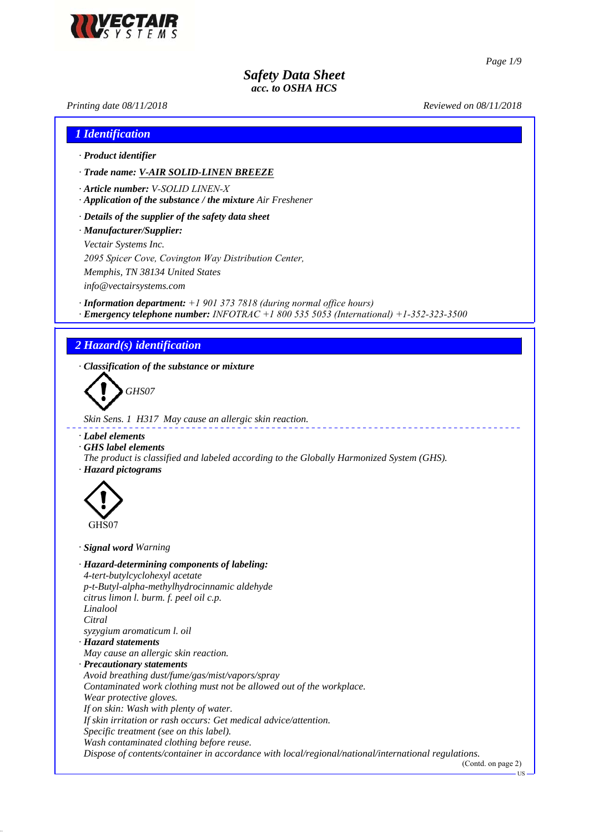

*Page 1/9*

US

# *Safety Data Sheet acc. to OSHA HCS*

*Printing date 08/11/2018 Reviewed on 08/11/2018*

- *1 Identification*
- *· Product identifier*
- *· Trade name: V-AIR SOLID-LINEN BREEZE*
- *· Article number: V-SOLID LINEN-X*
- *· Application of the substance / the mixture Air Freshener*
- *· Details of the supplier of the safety data sheet*
- *· Manufacturer/Supplier:*
- *Vectair Systems Inc.*
- *2095 Spicer Cove, Covington Way Distribution Center, Memphis, TN 38134 United States*
- *info@vectairsystems.com*
- *· Information department: +1 901 373 7818 (during normal office hours) · Emergency telephone number: INFOTRAC +1 800 535 5053 (International) +1-352-323-3500*

# *2 Hazard(s) identification*

*· Classification of the substance or mixture*

*GHS07*

*Skin Sens. 1 H317 May cause an allergic skin reaction.*

- *· Label elements*
- *· GHS label elements*
- *The product is classified and labeled according to the Globally Harmonized System (GHS). · Hazard pictograms*



- *· Signal word Warning*
- *· Hazard-determining components of labeling: 4-tert-butylcyclohexyl acetate p-t-Butyl-alpha-methylhydrocinnamic aldehyde citrus limon l. burm. f. peel oil c.p. Linalool Citral syzygium aromaticum l. oil · Hazard statements May cause an allergic skin reaction. · Precautionary statements Avoid breathing dust/fume/gas/mist/vapors/spray Contaminated work clothing must not be allowed out of the workplace. Wear protective gloves. If on skin: Wash with plenty of water. If skin irritation or rash occurs: Get medical advice/attention. Specific treatment (see on this label). Wash contaminated clothing before reuse. Dispose of contents/container in accordance with local/regional/national/international regulations.* (Contd. on page 2)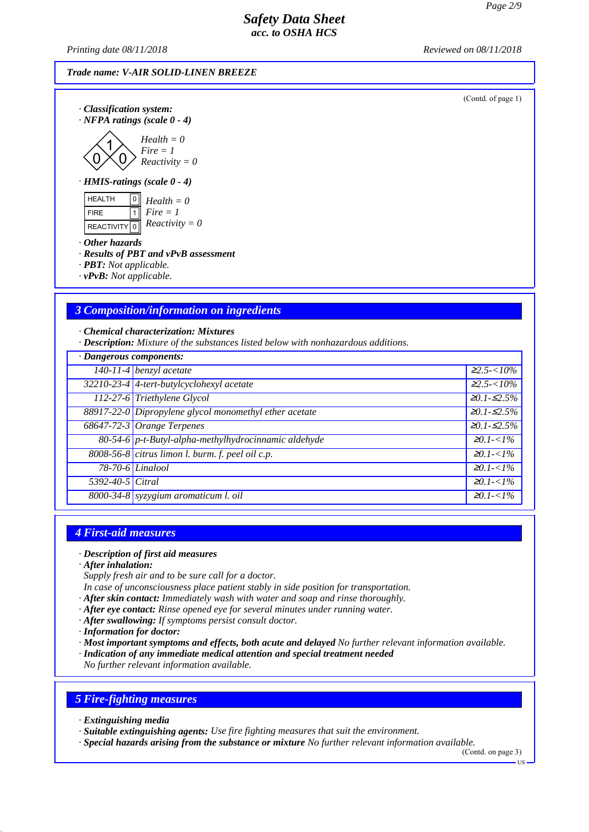*Printing date 08/11/2018 Reviewed on 08/11/2018*

(Contd. of page 1)

#### *Trade name: V-AIR SOLID-LINEN BREEZE*

*· Classification system: · NFPA ratings (scale 0 - 4)*

$$
\begin{Bmatrix}\n\mathbf{1} & \mathbf{Health} = 0 \\
\mathbf{0} & \mathbf{Fire} = 1 \\
\mathbf{0} & \mathbf{Reactivity} = 0\n\end{Bmatrix}
$$

*· HMIS-ratings (scale 0 - 4)*



*· Other hazards*

- *· Results of PBT and vPvB assessment*
- *· PBT: Not applicable.*
- *· vPvB: Not applicable.*

# *3 Composition/information on ingredients*

*· Chemical characterization: Mixtures*

*· Description: Mixture of the substances listed below with nonhazardous additions.*

| · Dangerous components: |                                                        |                     |
|-------------------------|--------------------------------------------------------|---------------------|
|                         | $\overline{140-11-4}$ benzyl acetate                   | $\geq 2.5 < 10\%$   |
|                         | 32210-23-4 4-tert-butylcyclohexyl acetate              | $\geq 2.5 < 10\%$   |
|                         | 112-27-6 Triethylene Glycol                            | $\geq 0.1 - 52.5\%$ |
|                         | 88917-22-0 Dipropylene glycol monomethyl ether acetate | $\geq 0.1 - 52.5\%$ |
|                         | 68647-72-3 Orange Terpenes                             | $\geq 0.1 - 52.5\%$ |
|                         | 80-54-6 p-t-Butyl-alpha-methylhydrocinnamic aldehyde   | $\geq 0.1 < 1\%$    |
|                         | 8008-56-8 citrus limon l. burm. f. peel oil c.p.       | $\geq 0.1 < 1\%$    |
|                         | $78-70-6$ Linalool                                     | $\geq 0.1 < 1\%$    |
| 5392-40-5 Citral        |                                                        | $\geq 0.1 < 1\%$    |
|                         | 8000-34-8 syzygium aromaticum l. oil                   | $\geq 0.1 < 1\%$    |

# *4 First-aid measures*

#### *· Description of first aid measures*

- *· After inhalation:*
- *Supply fresh air and to be sure call for a doctor.*
- *In case of unconsciousness place patient stably in side position for transportation.*
- *· After skin contact: Immediately wash with water and soap and rinse thoroughly.*
- *· After eye contact: Rinse opened eye for several minutes under running water.*
- *· After swallowing: If symptoms persist consult doctor.*
- *· Information for doctor:*
- *· Most important symptoms and effects, both acute and delayed No further relevant information available.*
- *· Indication of any immediate medical attention and special treatment needed*
- *No further relevant information available.*

# *5 Fire-fighting measures*

- *· Extinguishing media*
- *· Suitable extinguishing agents: Use fire fighting measures that suit the environment.*
- *· Special hazards arising from the substance or mixture No further relevant information available.*

(Contd. on page 3)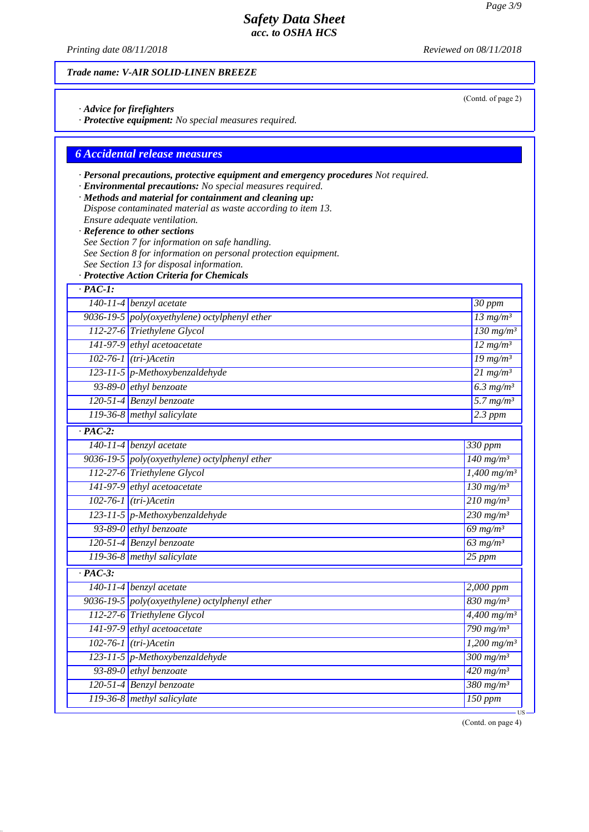(Contd. of page 2)

# *Safety Data Sheet acc. to OSHA HCS*

*Printing date 08/11/2018 Reviewed on 08/11/2018*

*Trade name: V-AIR SOLID-LINEN BREEZE*

*· Advice for firefighters*

*· Protective equipment: No special measures required.*

### *6 Accidental release measures*

*· Personal precautions, protective equipment and emergency procedures Not required.*

- *· Environmental precautions: No special measures required. · Methods and material for containment and cleaning up:*
- *Dispose contaminated material as waste according to item 13. Ensure adequate ventilation.*
- *· Reference to other sections*
- *See Section 7 for information on safe handling.*
- *See Section 8 for information on personal protection equipment.*
- *See Section 13 for disposal information.*

*· Protective Action Criteria for Chemicals*

| $\cdot$ PAC-1:           |                                                      |                                                 |
|--------------------------|------------------------------------------------------|-------------------------------------------------|
|                          | $\overline{140}$ - $\overline{11}$ -4 benzyl acetate | 30 ppm                                          |
|                          | 9036-19-5 $poly(oxyethylene)$ octylphenyl ether      | $13$ mg/m <sup>3</sup>                          |
|                          | 112-27-6 Triethylene Glycol                          | $\frac{130 \text{ mg/m}^3}{250 \text{ mg/m}^3}$ |
|                          | 141-97-9 ethyl acetoacetate                          | $12 \frac{mg}{m^3}$                             |
| $102-76-1$ (tri-)Acetin  |                                                      | $\frac{19 \text{ mg}}{m}$                       |
|                          | 123-11-5 p-Methoxybenzaldehyde                       | $\overline{21}$ mg/m <sup>3</sup>               |
|                          | 93-89-0 $ethyl$ benzoate                             | $\overline{6.3 \text{ mg/m}^3}$                 |
|                          | 120-51-4 Benzyl benzoate                             | $5.7$ mg/m <sup>3</sup>                         |
|                          | 119-36-8 methyl salicylate                           | $2.3$ ppm                                       |
| $\overline{PAC-2}$ :     |                                                      |                                                 |
|                          | $140 - 11 - 4$ benzyl acetate                        | 330 ppm                                         |
|                          | 9036-19-5 poly(oxyethylene) octylphenyl ether        | $140$ mg/m <sup>3</sup>                         |
|                          | 112-27-6 Triethylene Glycol                          | $1,400$ mg/m <sup>3</sup>                       |
|                          | $141-97-9$ ethyl acetoacetate                        | $130$ mg/m <sup>3</sup>                         |
| $102-76-1$ (tri-)Acetin  |                                                      | $210$ mg/m <sup>3</sup>                         |
|                          | 123-11-5 p-Methoxybenzaldehyde                       | $230$ mg/m <sup>3</sup>                         |
|                          | 93-89-0 ethyl benzoate                               | $69$ mg/m <sup>3</sup>                          |
|                          | 120-51-4 Benzyl benzoate                             | $63$ mg/m <sup>3</sup>                          |
|                          | 119-36-8 methyl salicylate                           | $\overline{25\ ppm}$                            |
| $\cdot$ PAC-3:           |                                                      |                                                 |
|                          | $\overline{140}$ - $\overline{11}$ -4 benzyl acetate | 2,000 ppm                                       |
|                          | 9036-19-5 $poly(oxyethylene)$ octylphenyl ether      | $830$ mg/m <sup>3</sup>                         |
|                          | 112-27-6 Triethylene Glycol                          | $4,400$ mg/m <sup>3</sup>                       |
|                          | 141-97-9 ethyl acetoacetate                          | $\frac{790 \text{ mg}}{m}$                      |
| 102-76-1 $(tri-)$ Acetin |                                                      | $1,200$ mg/m <sup>3</sup>                       |
|                          | 123-11-5 p-Methoxybenzaldehyde                       | $300$ mg/m <sup>3</sup>                         |
|                          | 93-89-0 ethyl benzoate                               | $\frac{420 \text{ mg}}{\text{m}}\text{s}$       |
|                          | 120-51-4 Benzyl benzoate                             | $380$ mg/m <sup>3</sup>                         |
|                          | 119-36-8 methyl salicylate                           | $150$ ppm                                       |

(Contd. on page 4)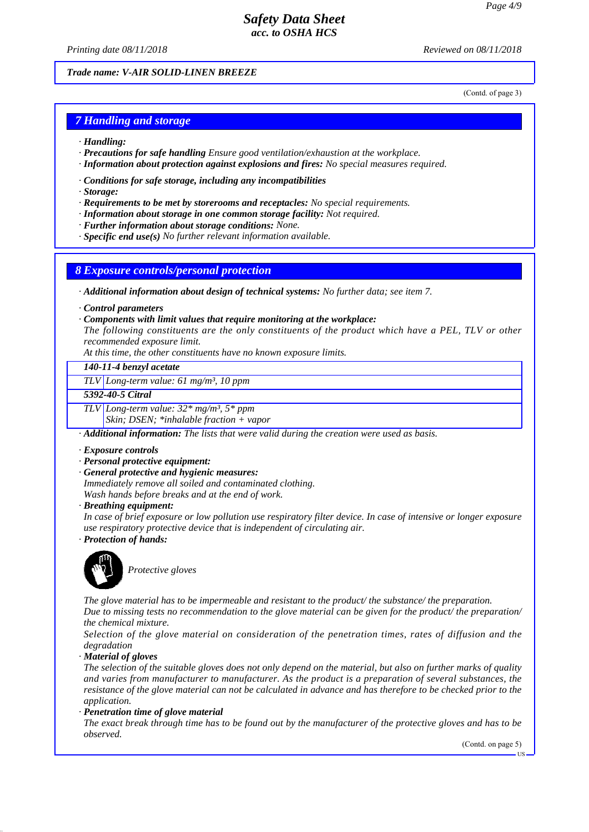*Printing date 08/11/2018 Reviewed on 08/11/2018*

*Trade name: V-AIR SOLID-LINEN BREEZE*

(Contd. of page 3)

# *7 Handling and storage*

- *· Handling:*
- *· Precautions for safe handling Ensure good ventilation/exhaustion at the workplace.*
- *· Information about protection against explosions and fires: No special measures required.*
- *· Conditions for safe storage, including any incompatibilities*
- *· Storage:*
- *· Requirements to be met by storerooms and receptacles: No special requirements.*
- *· Information about storage in one common storage facility: Not required.*
- *· Further information about storage conditions: None.*
- *· Specific end use(s) No further relevant information available.*

#### *8 Exposure controls/personal protection*

*· Additional information about design of technical systems: No further data; see item 7.*

*· Control parameters*

#### *· Components with limit values that require monitoring at the workplace:*

*The following constituents are the only constituents of the product which have a PEL, TLV or other recommended exposure limit.*

*At this time, the other constituents have no known exposure limits.*

*140-11-4 benzyl acetate*

*TLV Long-term value: 61 mg/m³, 10 ppm*

#### *5392-40-5 Citral*

*TLV Long-term value: 32\* mg/m³, 5\* ppm*

*Skin; DSEN; \*inhalable fraction + vapor*

*· Additional information: The lists that were valid during the creation were used as basis.*

- *· Exposure controls*
- *· Personal protective equipment:*
- *· General protective and hygienic measures:*
- *Immediately remove all soiled and contaminated clothing.*

*Wash hands before breaks and at the end of work.*

*· Breathing equipment:*

*In case of brief exposure or low pollution use respiratory filter device. In case of intensive or longer exposure use respiratory protective device that is independent of circulating air. · Protection of hands:*



*Protective gloves*

*The glove material has to be impermeable and resistant to the product/ the substance/ the preparation.*

*Due to missing tests no recommendation to the glove material can be given for the product/ the preparation/ the chemical mixture.*

*Selection of the glove material on consideration of the penetration times, rates of diffusion and the degradation*

*· Material of gloves*

*The selection of the suitable gloves does not only depend on the material, but also on further marks of quality and varies from manufacturer to manufacturer. As the product is a preparation of several substances, the resistance of the glove material can not be calculated in advance and has therefore to be checked prior to the application.*

*· Penetration time of glove material*

*The exact break through time has to be found out by the manufacturer of the protective gloves and has to be observed.*

(Contd. on page 5)

US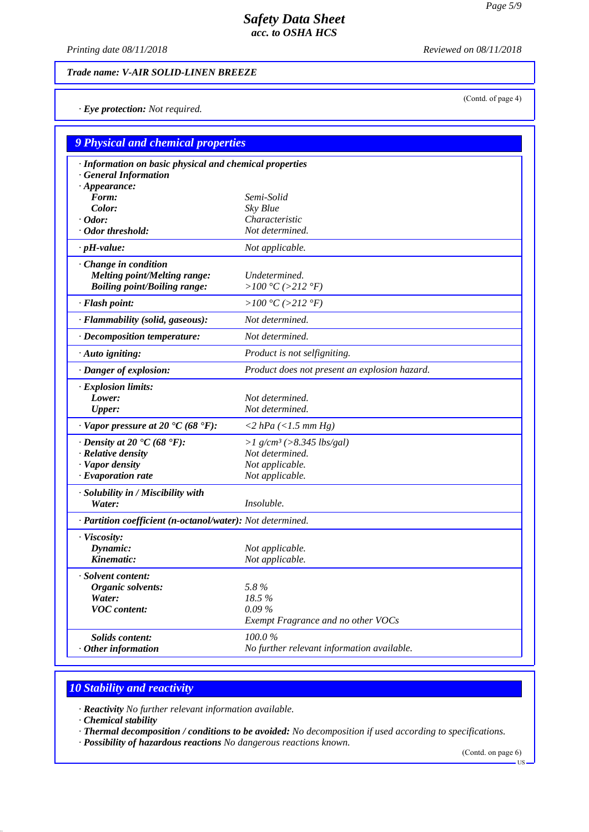*Printing date 08/11/2018 Reviewed on 08/11/2018*

(Contd. of page 4)

*Trade name: V-AIR SOLID-LINEN BREEZE*

*· Eye protection: Not required.*

| <b>9 Physical and chemical properties</b>                                             |                                                     |  |  |
|---------------------------------------------------------------------------------------|-----------------------------------------------------|--|--|
| · Information on basic physical and chemical properties<br><b>General Information</b> |                                                     |  |  |
| $\cdot$ Appearance:<br>Form:                                                          | Semi-Solid                                          |  |  |
| Color:                                                                                | Sky Blue                                            |  |  |
| $\cdot$ Odor:                                                                         | Characteristic                                      |  |  |
| · Odor threshold:                                                                     | Not determined.                                     |  |  |
| $\cdot$ pH-value:                                                                     | Not applicable.                                     |  |  |
| Change in condition<br><b>Melting point/Melting range:</b>                            | Undetermined.                                       |  |  |
| <b>Boiling point/Boiling range:</b>                                                   | > $100 °C (>212 °F)$                                |  |  |
| · Flash point:                                                                        | > $100 °C$ (>212 °F)                                |  |  |
| · Flammability (solid, gaseous):                                                      | Not determined.                                     |  |  |
| · Decomposition temperature:                                                          | Not determined.                                     |  |  |
| $\cdot$ Auto igniting:                                                                | Product is not selfigniting.                        |  |  |
| · Danger of explosion:                                                                | Product does not present an explosion hazard.       |  |  |
| $\cdot$ Explosion limits:                                                             |                                                     |  |  |
| Lower:                                                                                | Not determined.                                     |  |  |
| <b>Upper:</b>                                                                         | Not determined.                                     |  |  |
| $\cdot$ Vapor pressure at 20 $\cdot$ C (68 $\cdot$ F):                                | $\langle 2 \ hPa \ (\langle 1.5 \ mm \ Hg \rangle)$ |  |  |
| $\cdot$ Density at 20 $\cdot$ C (68 $\cdot$ F):                                       | >1 g/cm <sup>3</sup> (>8.345 lbs/gal)               |  |  |
| · Relative density                                                                    | Not determined.                                     |  |  |
| · Vapor density                                                                       | Not applicable.                                     |  |  |
| $\cdot$ Evaporation rate                                                              | Not applicable.                                     |  |  |
| · Solubility in / Miscibility with<br>Water:                                          | Insoluble.                                          |  |  |
| · Partition coefficient (n-octanol/water): Not determined.                            |                                                     |  |  |
| · Viscosity:                                                                          |                                                     |  |  |
| Dynamic:                                                                              | Not applicable.                                     |  |  |
| Kinematic:                                                                            | Not applicable.                                     |  |  |
| · Solvent content:                                                                    |                                                     |  |  |
| Organic solvents:                                                                     | 5.8%                                                |  |  |
| Water:                                                                                | 18.5%                                               |  |  |
| <b>VOC</b> content:                                                                   | $0.09\%$                                            |  |  |
|                                                                                       | Exempt Fragrance and no other VOCs                  |  |  |
| <b>Solids content:</b>                                                                | 100.0%                                              |  |  |
| $\cdot$ Other information                                                             | No further relevant information available.          |  |  |
|                                                                                       |                                                     |  |  |

# *10 Stability and reactivity*

*· Reactivity No further relevant information available.*

*· Chemical stability*

*· Thermal decomposition / conditions to be avoided: No decomposition if used according to specifications.*

*· Possibility of hazardous reactions No dangerous reactions known.*

(Contd. on page 6)

US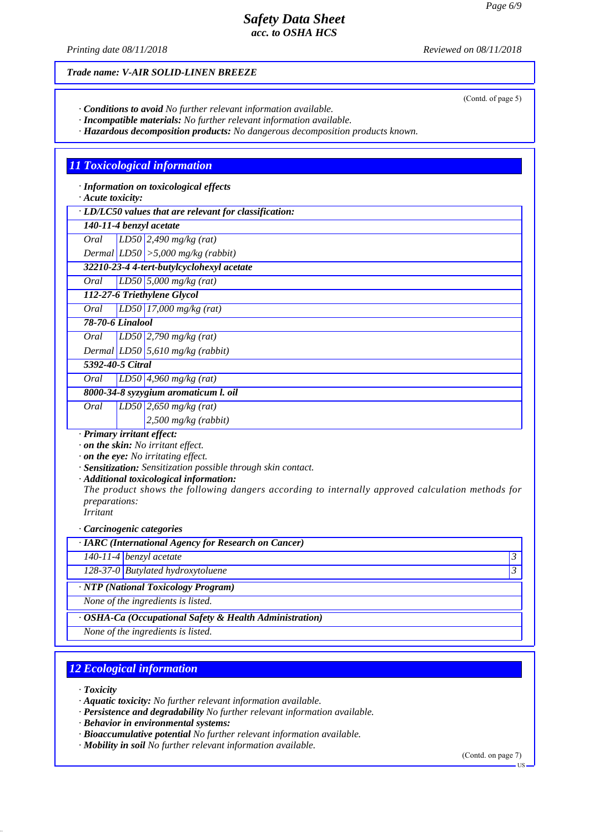*Printing date 08/11/2018 Reviewed on 08/11/2018*

(Contd. of page 5)

*Trade name: V-AIR SOLID-LINEN BREEZE*

*· Conditions to avoid No further relevant information available.*

*· Incompatible materials: No further relevant information available.*

*· Hazardous decomposition products: No dangerous decomposition products known.*

### *11 Toxicological information*

*· Information on toxicological effects*

*· Acute toxicity:*

*· LD/LC50 values that are relevant for classification:*

*140-11-4 benzyl acetate*

*Oral LD50 2,490 mg/kg (rat)*

*Dermal LD50 >5,000 mg/kg (rabbit)*

*32210-23-4 4-tert-butylcyclohexyl acetate*

*Oral LD50 5,000 mg/kg (rat)*

*112-27-6 Triethylene Glycol*

*Oral LD50 17,000 mg/kg (rat)*

*78-70-6 Linalool*

*Oral LD50 2,790 mg/kg (rat)*

*Dermal LD50 5,610 mg/kg (rabbit)*

*5392-40-5 Citral*

*Oral LD50 4,960 mg/kg (rat)*

*8000-34-8 syzygium aromaticum l. oil*

*Oral LD50 2,650 mg/kg (rat)*

*2,500 mg/kg (rabbit)*

*· Primary irritant effect:*

*· on the skin: No irritant effect.*

*· on the eye: No irritating effect.*

*· Sensitization: Sensitization possible through skin contact.*

*· Additional toxicological information:*

*The product shows the following dangers according to internally approved calculation methods for preparations:*

*Irritant*

*· Carcinogenic categories*

| · IARC (International Agency for Research on Cancer)    |                                   |  |
|---------------------------------------------------------|-----------------------------------|--|
|                                                         | $140 - 11 - 4$ benzyl acetate     |  |
|                                                         | 128-37-0 Butylated hydroxytoluene |  |
| · NTP (National Toxicology Program)                     |                                   |  |
| None of the ingredients is listed.                      |                                   |  |
| · OSHA-Ca (Occupational Safety & Health Administration) |                                   |  |
| None of the ingredients is listed.                      |                                   |  |

# *12 Ecological information*

*· Toxicity*

*· Aquatic toxicity: No further relevant information available.*

*· Persistence and degradability No further relevant information available.*

*· Behavior in environmental systems:*

*· Bioaccumulative potential No further relevant information available.*

*· Mobility in soil No further relevant information available.*

(Contd. on page 7)

US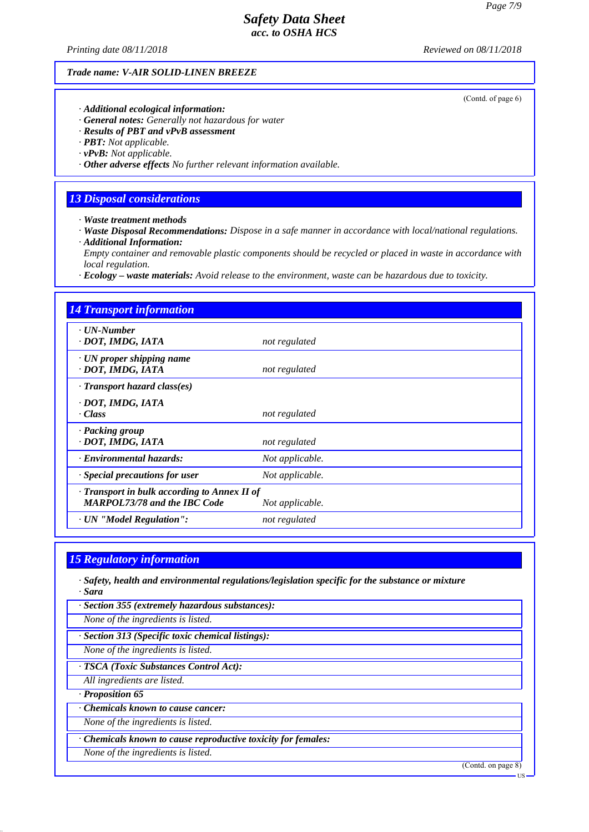*Printing date 08/11/2018 Reviewed on 08/11/2018*

#### *Trade name: V-AIR SOLID-LINEN BREEZE*

- *· Additional ecological information:*
- *· General notes: Generally not hazardous for water*
- *· Results of PBT and vPvB assessment*
- *· PBT: Not applicable.*
- *· vPvB: Not applicable.*
- *· Other adverse effects No further relevant information available.*

#### *13 Disposal considerations*

- *· Waste treatment methods*
- *· Waste Disposal Recommendations: Dispose in a safe manner in accordance with local/national regulations. · Additional Information:*
- *Empty container and removable plastic components should be recycled or placed in waste in accordance with local regulation.*
- *· Ecology waste materials: Avoid release to the environment, waste can be hazardous due to toxicity.*

| <b>14 Transport information</b>                                                                        |                 |  |
|--------------------------------------------------------------------------------------------------------|-----------------|--|
| . UN-Number<br>· DOT, IMDG, IATA                                                                       | not regulated   |  |
| $\cdot$ UN proper shipping name<br>· DOT, IMDG, IATA                                                   | not regulated   |  |
| $\cdot$ Transport hazard class(es)                                                                     |                 |  |
| · DOT, IMDG, IATA<br>· Class                                                                           | not regulated   |  |
| · Packing group<br>· DOT, IMDG, IATA                                                                   | not regulated   |  |
| · Environmental hazards:                                                                               | Not applicable. |  |
| $\cdot$ Special precautions for user                                                                   | Not applicable. |  |
| · Transport in bulk according to Annex II of<br><b>MARPOL73/78 and the IBC Code</b><br>Not applicable. |                 |  |
| · UN "Model Regulation":                                                                               | not regulated   |  |

# *15 Regulatory information*

- *· Safety, health and environmental regulations/legislation specific for the substance or mixture · Sara*
- *· Section 355 (extremely hazardous substances):*
- *None of the ingredients is listed.*
- *· Section 313 (Specific toxic chemical listings):*
- *None of the ingredients is listed.*
- *· TSCA (Toxic Substances Control Act):*
- *All ingredients are listed.*
- *· Proposition 65*
- *· Chemicals known to cause cancer:*
- *None of the ingredients is listed.*
- *· Chemicals known to cause reproductive toxicity for females:*
- *None of the ingredients is listed.*

(Contd. on page 8)

(Contd. of page 6)

US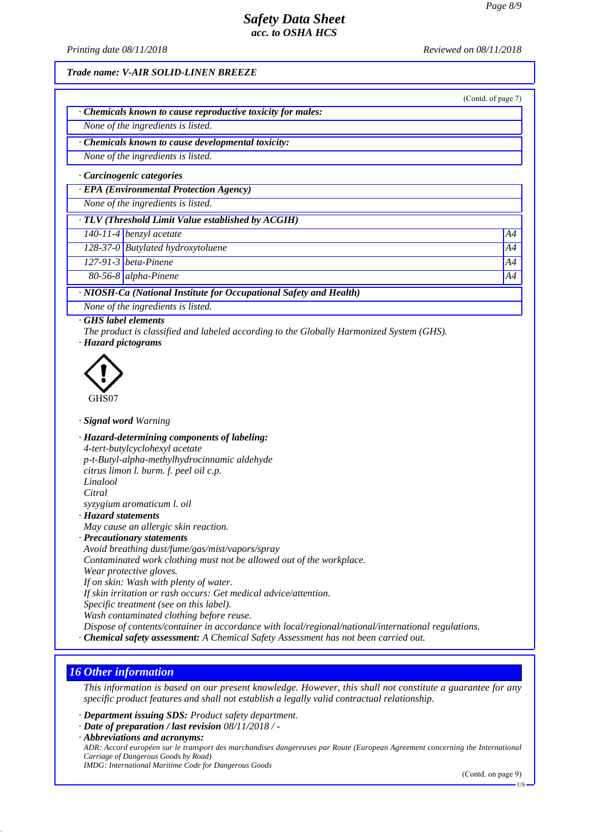*Printing date 08/11/2018 Reviewed on 08/11/2018*

(Contd. of page 7)

*Trade name: V-AIR SOLID-LINEN BREEZE*

*· Chemicals known to cause reproductive toxicity for males:*

*None of the ingredients is listed.*

*· Chemicals known to cause developmental toxicity:*

*None of the ingredients is listed.*

*· Carcinogenic categories*

*· EPA (Environmental Protection Agency)*

*None of the ingredients is listed.*

*· TLV (Threshold Limit Value established by ACGIH)*

*140-11-4 benzyl acetate A4*

*128-37-0 Butylated hydroxytoluene A4*

*127-91-3 beta-Pinene A4*

*80-56-8 alpha-Pinene A4*

*· NIOSH-Ca (National Institute for Occupational Safety and Health)*

*None of the ingredients is listed.*

*· GHS label elements*

*The product is classified and labeled according to the Globally Harmonized System (GHS). · Hazard pictograms*



*· Signal word Warning*

*· Hazard-determining components of labeling:*

*4-tert-butylcyclohexyl acetate p-t-Butyl-alpha-methylhydrocinnamic aldehyde citrus limon l. burm. f. peel oil c.p. Linalool Citral syzygium aromaticum l. oil · Hazard statements May cause an allergic skin reaction. · Precautionary statements Avoid breathing dust/fume/gas/mist/vapors/spray Contaminated work clothing must not be allowed out of the workplace. Wear protective gloves. If on skin: Wash with plenty of water. If skin irritation or rash occurs: Get medical advice/attention.*

*Specific treatment (see on this label).*

*Wash contaminated clothing before reuse.*

*Dispose of contents/container in accordance with local/regional/national/international regulations.*

*· Chemical safety assessment: A Chemical Safety Assessment has not been carried out.*

#### *16 Other information*

*This information is based on our present knowledge. However, this shall not constitute a guarantee for any specific product features and shall not establish a legally valid contractual relationship.*

*· Department issuing SDS: Product safety department.*

*· Date of preparation / last revision 08/11/2018 / -*

*· Abbreviations and acronyms:*

*ADR: Accord européen sur le transport des marchandises dangereuses par Route (European Agreement concerning the International Carriage of Dangerous Goods by Road)*

*IMDG: International Maritime Code for Dangerous Goods*

US